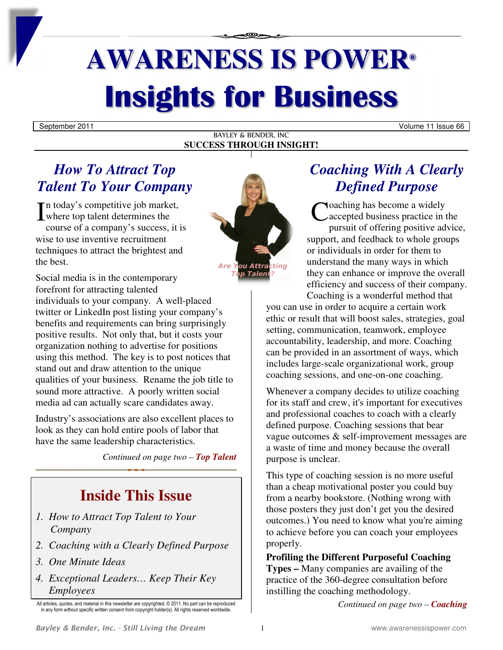# **AWARENESS IS POWER® Insights for Business**

September 2011 Volume 11 Issue 66

BAYLEY & BENDER, INC **SUCCESS THROUGH INSIGHT!**

### *How To Attract Top Talent To Your Company*

n today's competitive job market, In today's competitive job market,<br>
where top talent determines the<br>
course of a company's success it is course of a company's success, it is wise to use inventive recruitment techniques to attract the brightest and the best.

Social media is in the contemporary forefront for attracting talented individuals to your company. A well-placed twitter or LinkedIn post listing your company's benefits and requirements can bring surprisingly positive results. Not only that, but it costs your organization nothing to advertise for positions using this method. The key is to post notices that stand out and draw attention to the unique qualities of your business. Rename the job title to sound more attractive. A poorly written social media ad can actually scare candidates away.

Industry's associations are also excellent places to look as they can hold entire pools of labor that have the same leadership characteristics.

*Continued on page two – Top Talent*

## **Inside This Issue**

- *1. How to Attract Top Talent to Your Company*
- *2. Coaching with a Clearly Defined Purpose*
- *3. One Minute Ideas*
- *4. Exceptional Leaders… Keep Their Key Employees*



### *Coaching With A Clearly Defined Purpose*

oaching has become a widely accepted business practice in the pursuit of offering positive advice, support, and feedback to whole groups or individuals in order for them to understand the many ways in which they can enhance or improve the overall efficiency and success of their company. Coaching is a wonderful method that

you can use in order to acquire a certain work ethic or result that will boost sales, strategies, goal setting, communication, teamwork, employee accountability, leadership, and more. Coaching can be provided in an assortment of ways, which includes large-scale organizational work, group coaching sessions, and one-on-one coaching.

Whenever a company decides to utilize coaching for its staff and crew, it's important for executives and professional coaches to coach with a clearly defined purpose. Coaching sessions that bear vague outcomes & self-improvement messages are a waste of time and money because the overall purpose is unclear.

This type of coaching session is no more useful than a cheap motivational poster you could buy from a nearby bookstore. (Nothing wrong with those posters they just don't get you the desired outcomes.) You need to know what you're aiming to achieve before you can coach your employees properly.

**Profiling the Different Purposeful Coaching Types –** Many companies are availing of the practice of the 360-degree consultation before instilling the coaching methodology.

*Continued on page two – Coaching*

All articles, quotes, and material in this newsletter are copyrighted. © 2011. No part can be reproduced in any form without specific written consent from copyright holder(s). All rights reserved worldwide.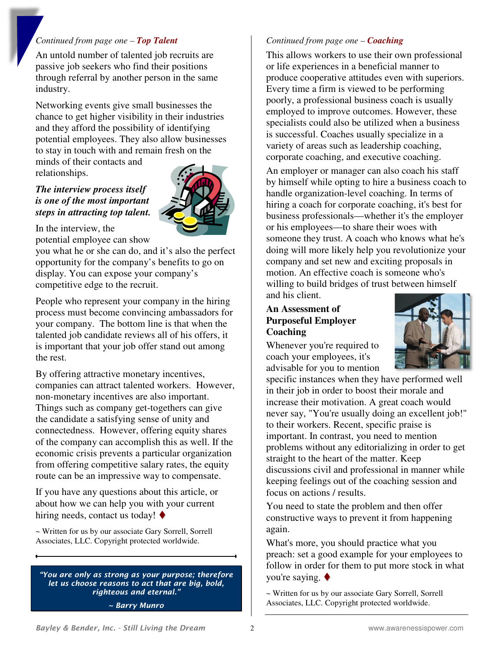#### *Continued from page one – Top Talent*

An untold number of talented job recruits are passive job seekers who find their positions through referral by another person in the same industry.

Networking events give small businesses the chance to get higher visibility in their industries and they afford the possibility of identifying potential employees. They also allow businesses to stay in touch with and remain fresh on the minds of their contacts and

relationships.

### *The interview process itself is one of the most important steps in attracting top talent.*



In the interview, the potential employee can show

you what he or she can do, and it's also the perfect opportunity for the company's benefits to go on display. You can expose your company's competitive edge to the recruit.

People who represent your company in the hiring process must become convincing ambassadors for your company. The bottom line is that when the talented job candidate reviews all of his offers, it is important that your job offer stand out among the rest.

By offering attractive monetary incentives, companies can attract talented workers. However, non-monetary incentives are also important. Things such as company get-togethers can give the candidate a satisfying sense of unity and connectedness. However, offering equity shares of the company can accomplish this as well. If the economic crisis prevents a particular organization from offering competitive salary rates, the equity route can be an impressive way to compensate.

If you have any questions about this article, or about how we can help you with your current hiring needs, contact us today!  $\blacklozenge$ 

~ Written for us by our associate Gary Sorrell, Sorrell Associates, LLC. Copyright protected worldwide.

*"You are only as strong as your purpose; therefore let us choose reasons to act that are big, bold, righteous and eternal." ~ Barry Munro* 

#### *Continued from page one – Coaching*

This allows workers to use their own professional or life experiences in a beneficial manner to produce cooperative attitudes even with superiors. Every time a firm is viewed to be performing poorly, a professional business coach is usually employed to improve outcomes. However, these specialists could also be utilized when a business is successful. Coaches usually specialize in a variety of areas such as leadership coaching, corporate coaching, and executive coaching.

An employer or manager can also coach his staff by himself while opting to hire a business coach to handle organization-level coaching. In terms of hiring a coach for corporate coaching, it's best for business professionals—whether it's the employer or his employees—to share their woes with someone they trust. A coach who knows what he's doing will more likely help you revolutionize your company and set new and exciting proposals in motion. An effective coach is someone who's willing to build bridges of trust between himself and his client.

#### **An Assessment of Purposeful Employer Coaching**

Whenever you're required to coach your employees, it's advisable for you to mention



specific instances when they have performed well in their job in order to boost their morale and increase their motivation. A great coach would never say, "You're usually doing an excellent job!" to their workers. Recent, specific praise is important. In contrast, you need to mention problems without any editorializing in order to get straight to the heart of the matter. Keep discussions civil and professional in manner while keeping feelings out of the coaching session and focus on actions / results.

You need to state the problem and then offer constructive ways to prevent it from happening again.

What's more, you should practice what you preach: set a good example for your employees to follow in order for them to put more stock in what you're saying.

~ Written for us by our associate Gary Sorrell, Sorrell Associates, LLC. Copyright protected worldwide.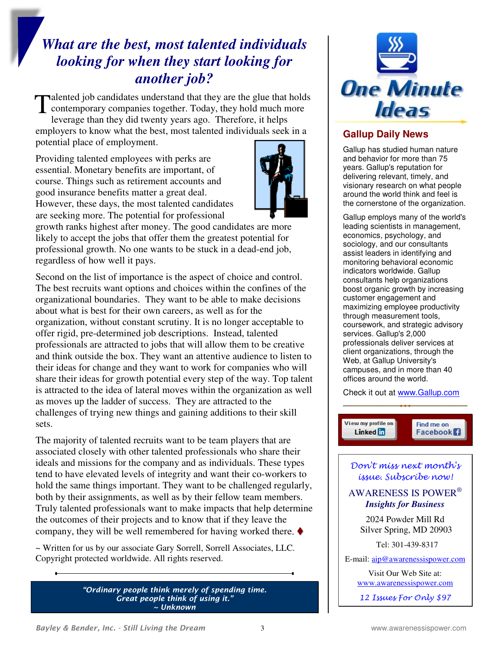### *What are the best, most talented individuals looking for when they start looking for another job?*

alented job candidates understand that they are the glue that holds Talented job candidates understand that they are the glue that hold<br>
contemporary companies together. Today, they hold much more<br>
lowers as then they did twenty years aso. Therefore, it helps leverage than they did twenty years ago. Therefore, it helps employers to know what the best, most talented individuals seek in a potential place of employment.

Providing talented employees with perks are essential. Monetary benefits are important, of course. Things such as retirement accounts and good insurance benefits matter a great deal. However, these days, the most talented candidates are seeking more. The potential for professional



growth ranks highest after money. The good candidates are more likely to accept the jobs that offer them the greatest potential for professional growth. No one wants to be stuck in a dead-end job, regardless of how well it pays.

Second on the list of importance is the aspect of choice and control. The best recruits want options and choices within the confines of the organizational boundaries. They want to be able to make decisions about what is best for their own careers, as well as for the organization, without constant scrutiny. It is no longer acceptable to offer rigid, pre-determined job descriptions. Instead, talented professionals are attracted to jobs that will allow them to be creative and think outside the box. They want an attentive audience to listen to their ideas for change and they want to work for companies who will share their ideas for growth potential every step of the way. Top talent is attracted to the idea of lateral moves within the organization as well as moves up the ladder of success. They are attracted to the challenges of trying new things and gaining additions to their skill sets.

The majority of talented recruits want to be team players that are associated closely with other talented professionals who share their ideals and missions for the company and as individuals. These types tend to have elevated levels of integrity and want their co-workers to hold the same things important. They want to be challenged regularly, both by their assignments, as well as by their fellow team members. Truly talented professionals want to make impacts that help determine the outcomes of their projects and to know that if they leave the company, they will be well remembered for having worked there.  $\blacklozenge$ 

~ Written for us by our associate Gary Sorrell, Sorrell Associates, LLC. Copyright protected worldwide. All rights reserved.

> *"Ordinary people think merely of spending time. Great people think of using it." ~ Unknown*



### **Gallup Daily News**

Gallup has studied human nature and behavior for more than 75 years. Gallup's reputation for delivering relevant, timely, and visionary research on what people around the world think and feel is the cornerstone of the organization.

Gallup employs many of the world's leading scientists in management, economics, psychology, and sociology, and our consultants assist leaders in identifying and monitoring behavioral economic indicators worldwide. Gallup consultants help organizations boost organic growth by increasing customer engagement and maximizing employee productivity through measurement tools, coursework, and strategic advisory services. Gallup's 2,000 professionals deliver services at client organizations, through the Web, at Gallup University's campuses, and in more than 40 offices around the world.

Check it out at www.Gallup.com

View my profile on Find me on Linked in Facebook<sup>1</sup>

Don't miss next month's issue. Subscribe now!

AWARENESS IS POWER®  *Insights for Business* 

2024 Powder Mill Rd Silver Spring, MD 20903

Tel: 301-439-8317

E-mail: aip@awarenessispower.com

Visit Our Web Site at: www.awarenessispower.com

12 Issues For Only \$97